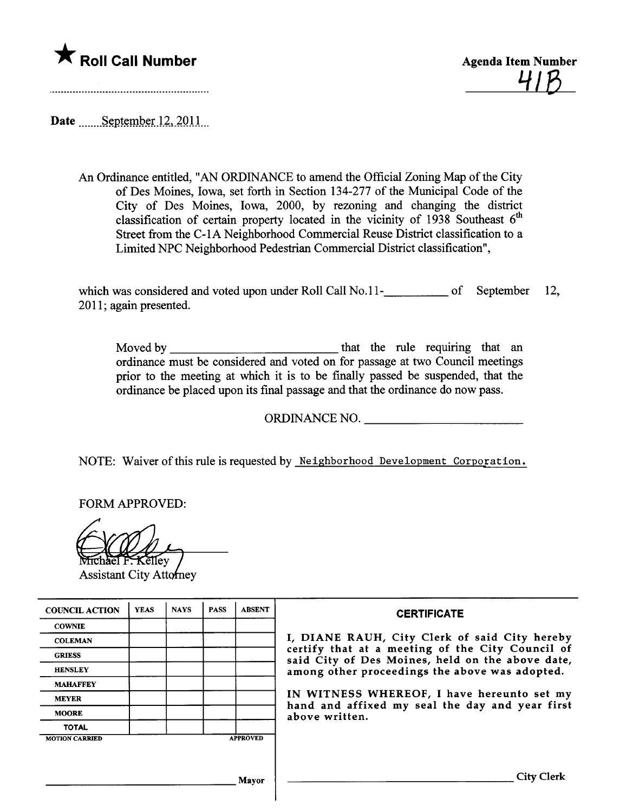



Date September 12, 2011

An Ordinance entitled, "AN ORDINANCE to amend the Official Zoning Map of the City of Des Moines, Iowa, set forth in Section 134-277 of the Muncipal Code of the City of Des Moines, Iowa, 2000, by rezoning and changing the district classification of certain property located in the vicinity of 1938 Southeast  $6<sup>th</sup>$ Street from the C-1A Neighborhood Commercial Reuse District classification to a Limited NPC Neighborhood Pedestran Commercial District classification",

which was considered and voted upon under Roll Call No.11-**Research Limitary Constant Constant Constant** 12, 2011; again presented.

Moved by  $\frac{1}{\sqrt{1-\frac{1}{\sqrt{1-\frac{1}{\sqrt{1-\frac{1}{\sqrt{1-\frac{1}{\sqrt{1-\frac{1}{\sqrt{1-\frac{1}{\sqrt{1-\frac{1}{\sqrt{1-\frac{1}{\sqrt{1-\frac{1}{\sqrt{1-\frac{1}{\sqrt{1-\frac{1}{\sqrt{1-\frac{1}{\sqrt{1-\frac{1}{\sqrt{1-\frac{1}{\sqrt{1-\frac{1}{\sqrt{1-\frac{1}{\sqrt{1-\frac{1}{\sqrt{1-\frac{1}{\sqrt{1-\frac{1}{\sqrt{1-\frac{1}{\sqrt{1-\frac{1}{\sqrt{1-\frac{1}{\sqrt{1-\frac{1$ ordinance must be considered and voted on for passage at two Council meetings prior to the meeting at which it is to be finally passed be suspended, that the ordinance be placed upon its final passage and that the ordinance do now pass.

ORDINANCE NO.

NOTE: Waiver of this rule is requested by Neighborhood Development Corporation.

FORM APPROVED:

**Assistant City Attorney** 

| <b>COUNCIL ACTION</b> | <b>YEAS</b> | <b>NAYS</b> | <b>PASS</b> | <b>ABSENT</b>   | <b>CERTIFICATE</b>                                                                                                                                                                                                                                                                                                         |
|-----------------------|-------------|-------------|-------------|-----------------|----------------------------------------------------------------------------------------------------------------------------------------------------------------------------------------------------------------------------------------------------------------------------------------------------------------------------|
| <b>COWNIE</b>         |             |             |             |                 | I, DIANE RAUH, City Clerk of said City hereby<br>certify that at a meeting of the City Council of<br>said City of Des Moines, held on the above date,<br>among other proceedings the above was adopted.<br>IN WITNESS WHEREOF, I have hereunto set my<br>hand and affixed my seal the day and year first<br>above written. |
| <b>COLEMAN</b>        |             |             |             |                 |                                                                                                                                                                                                                                                                                                                            |
| <b>GRIESS</b>         |             |             |             |                 |                                                                                                                                                                                                                                                                                                                            |
| <b>HENSLEY</b>        |             |             |             |                 |                                                                                                                                                                                                                                                                                                                            |
| <b>MAHAFFEY</b>       |             |             |             |                 |                                                                                                                                                                                                                                                                                                                            |
| <b>MEYER</b>          |             |             |             |                 |                                                                                                                                                                                                                                                                                                                            |
| <b>MOORE</b>          |             |             |             |                 |                                                                                                                                                                                                                                                                                                                            |
| <b>TOTAL</b>          |             |             |             |                 |                                                                                                                                                                                                                                                                                                                            |
| <b>MOTION CARRIED</b> |             |             |             | <b>APPROVED</b> |                                                                                                                                                                                                                                                                                                                            |
|                       |             |             |             |                 |                                                                                                                                                                                                                                                                                                                            |
| <b>Mayor</b>          |             |             |             |                 | City Clerk                                                                                                                                                                                                                                                                                                                 |